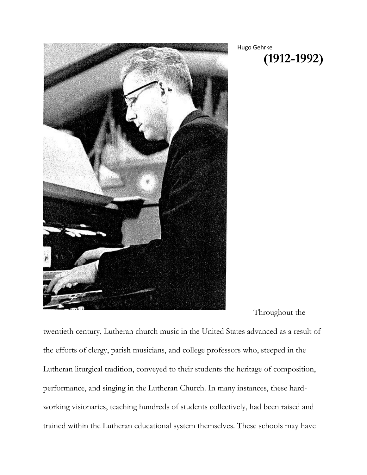

Hugo Gehrke **(1912-1992)**

Throughout the

twentieth century, Lutheran church music in the United States advanced as a result of the efforts of clergy, parish musicians, and college professors who, steeped in the Lutheran liturgical tradition, conveyed to their students the heritage of composition, performance, and singing in the Lutheran Church. In many instances, these hardworking visionaries, teaching hundreds of students collectively, had been raised and trained within the Lutheran educational system themselves. These schools may have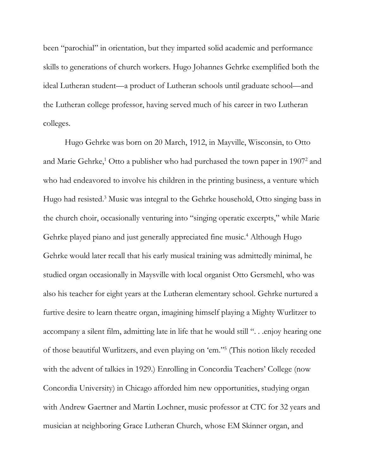been "parochial" in orientation, but they imparted solid academic and performance skills to generations of church workers. Hugo Johannes Gehrke exemplified both the ideal Lutheran student—a product of Lutheran schools until graduate school—and the Lutheran college professor, having served much of his career in two Lutheran colleges.

Hugo Gehrke was born on 20 March, 1912, in Mayville, Wisconsin, to Otto and Marie Gehrke, <sup>1</sup> Otto a publisher who had purchased the town paper in 1907<sup>2</sup> and who had endeavored to involve his children in the printing business, a venture which Hugo had resisted.<sup>3</sup> Music was integral to the Gehrke household, Otto singing bass in the church choir, occasionally venturing into "singing operatic excerpts," while Marie Gehrke played piano and just generally appreciated fine music. <sup>4</sup> Although Hugo Gehrke would later recall that his early musical training was admittedly minimal, he studied organ occasionally in Maysville with local organist Otto Gersmehl, who was also his teacher for eight years at the Lutheran elementary school. Gehrke nurtured a furtive desire to learn theatre organ, imagining himself playing a Mighty Wurlitzer to accompany a silent film, admitting late in life that he would still ". . .enjoy hearing one of those beautiful Wurlitzers, and even playing on 'em." 5 (This notion likely receded with the advent of talkies in 1929.) Enrolling in Concordia Teachers' College (now Concordia University) in Chicago afforded him new opportunities, studying organ with Andrew Gaertner and Martin Lochner, music professor at CTC for 32 years and musician at neighboring Grace Lutheran Church, whose EM Skinner organ, and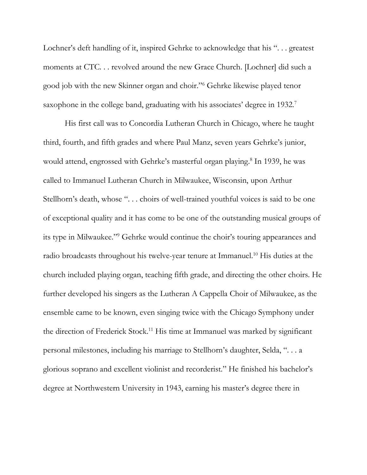Lochner's deft handling of it, inspired Gehrke to acknowledge that his "... greatest moments at CTC. . . revolved around the new Grace Church. [Lochner] did such a good job with the new Skinner organ and choir."<sup>6</sup> Gehrke likewise played tenor saxophone in the college band, graduating with his associates' degree in 1932.<sup>7</sup>

His first call was to Concordia Lutheran Church in Chicago, where he taught third, fourth, and fifth grades and where Paul Manz, seven years Gehrke's junior, would attend, engrossed with Gehrke's masterful organ playing. 8 In 1939, he was called to Immanuel Lutheran Church in Milwaukee, Wisconsin, upon Arthur Stellhorn's death, whose ". . . choirs of well-trained youthful voices is said to be one of exceptional quality and it has come to be one of the outstanding musical groups of its type in Milwaukee."<sup>9</sup> Gehrke would continue the choir's touring appearances and radio broadcasts throughout his twelve-year tenure at Immanuel. <sup>10</sup> His duties at the church included playing organ, teaching fifth grade, and directing the other choirs. He further developed his singers as the Lutheran A Cappella Choir of Milwaukee, as the ensemble came to be known, even singing twice with the Chicago Symphony under the direction of Frederick Stock.<sup>11</sup> His time at Immanuel was marked by significant personal milestones, including his marriage to Stellhorn's daughter, Selda, ". . . a glorious soprano and excellent violinist and recorderist." He finished his bachelor's degree at Northwestern University in 1943, earning his master's degree there in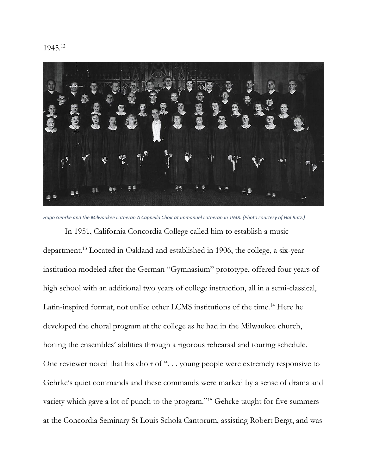



*Hugo Gehrke and the Milwaukee Lutheran A Cappella Choir at Immanuel Lutheran in 1948. (Photo courtesy of Hal Rutz.)* 

In 1951, California Concordia College called him to establish a music department.<sup>13</sup> Located in Oakland and established in 1906, the college, a six-year institution modeled after the German "Gymnasium" prototype, offered four years of high school with an additional two years of college instruction, all in a semi-classical, Latin-inspired format, not unlike other LCMS institutions of the time.<sup>14</sup> Here he developed the choral program at the college as he had in the Milwaukee church, honing the ensembles' abilities through a rigorous rehearsal and touring schedule. One reviewer noted that his choir of ". . . young people were extremely responsive to Gehrke's quiet commands and these commands were marked by a sense of drama and variety which gave a lot of punch to the program."<sup>15</sup> Gehrke taught for five summers at the Concordia Seminary St Louis Schola Cantorum, assisting Robert Bergt, and was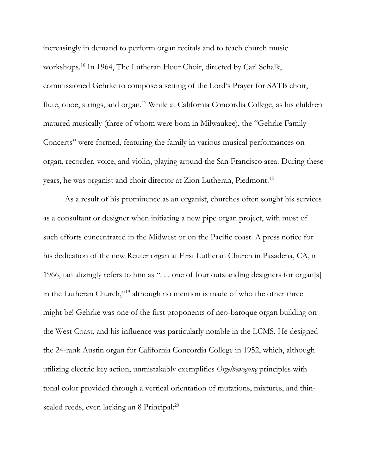increasingly in demand to perform organ recitals and to teach church music workshops.<sup>16</sup> In 1964, The Lutheran Hour Choir, directed by Carl Schalk, commissioned Gehrke to compose a setting of the Lord's Prayer for SATB choir, flute, oboe, strings, and organ.<sup>17</sup> While at California Concordia College, as his children matured musically (three of whom were born in Milwaukee), the "Gehrke Family Concerts" were formed, featuring the family in various musical performances on organ, recorder, voice, and violin, playing around the San Francisco area. During these years, he was organist and choir director at Zion Lutheran, Piedmont. 18

As a result of his prominence as an organist, churches often sought his services as a consultant or designer when initiating a new pipe organ project, with most of such efforts concentrated in the Midwest or on the Pacific coast. A press notice for his dedication of the new Reuter organ at First Lutheran Church in Pasadena, CA, in 1966, tantalizingly refers to him as ". . . one of four outstanding designers for organ[s] in the Lutheran Church,"<sup>19</sup> although no mention is made of who the other three might be! Gehrke was one of the first proponents of neo-baroque organ building on the West Coast, and his influence was particularly notable in the LCMS. He designed the 24-rank Austin organ for California Concordia College in 1952, which, although utilizing electric key action, unmistakably exemplifies *Orgelbewegung* principles with tonal color provided through a vertical orientation of mutations, mixtures, and thinscaled reeds, even lacking an 8 Principal:<sup>20</sup>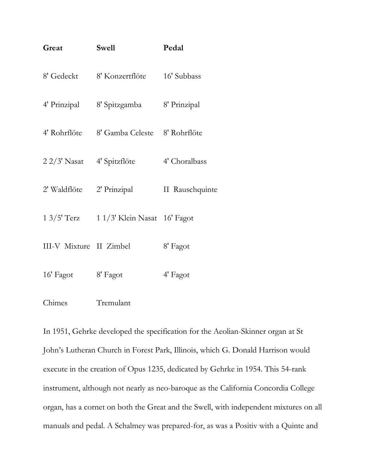| Great                      | <b>Swell</b>                               | Pedal           |
|----------------------------|--------------------------------------------|-----------------|
|                            | 8' Gedeckt 8' Konzertflöte 16' Subbass     |                 |
|                            | 4' Prinzipal 8' Spitzgamba 8' Prinzipal    |                 |
|                            | 4' Rohrflöte 8' Gamba Celeste 8' Rohrflöte |                 |
| 2 2/3' Nasat 4' Spitzflöte |                                            | 4' Choralbass   |
|                            | 2' Waldflöte 2' Prinzipal                  | II Rauschquinte |
|                            | 1 3/5' Terz 1 1/3' Klein Nasat 16' Fagot   |                 |
| III-V Mixture II Zimbel    |                                            | 8' Fagot        |
| 16' Fagot 8' Fagot         |                                            | 4' Fagot        |
| Chimes                     | Tremulant                                  |                 |

In 1951, Gehrke developed the specification for the Aeolian-Skinner organ at St John's Lutheran Church in Forest Park, Illinois, which G. Donald Harrison would execute in the creation of Opus 1235, dedicated by Gehrke in 1954. This 54-rank instrument, although not nearly as neo-baroque as the California Concordia College organ, has a cornet on both the Great and the Swell, with independent mixtures on all manuals and pedal. A Schalmey was prepared-for, as was a Positiv with a Quinte and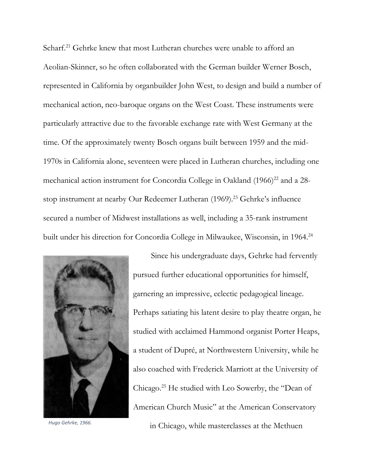Scharf.<sup>21</sup> Gehrke knew that most Lutheran churches were unable to afford an Aeolian-Skinner, so he often collaborated with the German builder Werner Bosch, represented in California by organbuilder John West, to design and build a number of mechanical action, neo-baroque organs on the West Coast. These instruments were particularly attractive due to the favorable exchange rate with West Germany at the time. Of the approximately twenty Bosch organs built between 1959 and the mid-1970s in California alone, seventeen were placed in Lutheran churches, including one mechanical action instrument for Concordia College in Oakland  $(1966)^{22}$  and a 28stop instrument at nearby Our Redeemer Lutheran (1969). <sup>23</sup> Gehrke's influence secured a number of Midwest installations as well, including a 35-rank instrument built under his direction for Concordia College in Milwaukee, Wisconsin, in 1964.<sup>24</sup>



Since his undergraduate days, Gehrke had fervently pursued further educational opportunities for himself, garnering an impressive, eclectic pedagogical lineage. Perhaps satiating his latent desire to play theatre organ, he studied with acclaimed Hammond organist Porter Heaps, a student of Dupré, at Northwestern University, while he also coached with Frederick Marriott at the University of Chicago.<sup>25</sup> He studied with Leo Sowerby, the "Dean of American Church Music" at the American Conservatory in Chicago, while masterclasses at the Methuen *Hugo Gehrke, 1966.*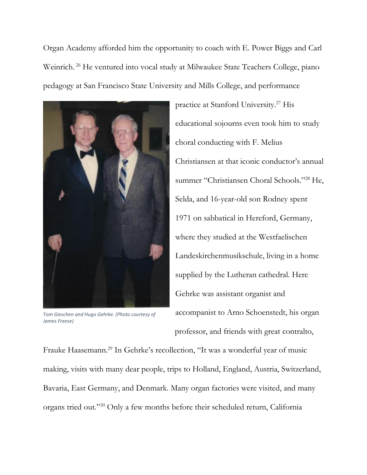Organ Academy afforded him the opportunity to coach with E. Power Biggs and Carl Weinrich. <sup>26</sup> He ventured into vocal study at Milwaukee State Teachers College, piano pedagogy at San Francisco State University and Mills College, and performance



*Tom Gieschen and Hugo Gehrke. (Photo courtesy of James Freese)*

practice at Stanford University.<sup>27</sup> His educational sojourns even took him to study choral conducting with F. Melius Christiansen at that iconic conductor's annual summer "Christiansen Choral Schools."<sup>28</sup> He, Selda, and 16-year-old son Rodney spent 1971 on sabbatical in Hereford, Germany, where they studied at the Westfaelischen Landeskirchenmusikschule, living in a home supplied by the Lutheran cathedral. Here Gehrke was assistant organist and accompanist to Arno Schoenstedt, his organ professor, and friends with great contralto,

Frauke Haasemann.<sup>29</sup> In Gehrke's recollection, "It was a wonderful year of music making, visits with many dear people, trips to Holland, England, Austria, Switzerland, Bavaria, East Germany, and Denmark. Many organ factories were visited, and many organs tried out."<sup>30</sup> Only a few months before their scheduled return, California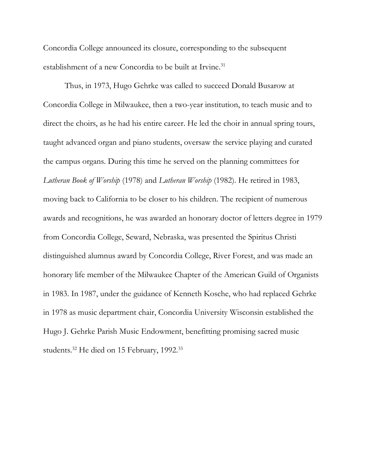Concordia College announced its closure, corresponding to the subsequent establishment of a new Concordia to be built at Irvine.<sup>31</sup>

Thus, in 1973, Hugo Gehrke was called to succeed Donald Busarow at Concordia College in Milwaukee, then a two-year institution, to teach music and to direct the choirs, as he had his entire career. He led the choir in annual spring tours, taught advanced organ and piano students, oversaw the service playing and curated the campus organs. During this time he served on the planning committees for *Lutheran Book of Worship* (1978) and *Lutheran Worship* (1982). He retired in 1983, moving back to California to be closer to his children. The recipient of numerous awards and recognitions, he was awarded an honorary doctor of letters degree in 1979 from Concordia College, Seward, Nebraska, was presented the Spiritus Christi distinguished alumnus award by Concordia College, River Forest, and was made an honorary life member of the Milwaukee Chapter of the American Guild of Organists in 1983. In 1987, under the guidance of Kenneth Kosche, who had replaced Gehrke in 1978 as music department chair, Concordia University Wisconsin established the Hugo J. Gehrke Parish Music Endowment, benefitting promising sacred music students.<sup>32</sup> He died on 15 February, 1992.<sup>33</sup>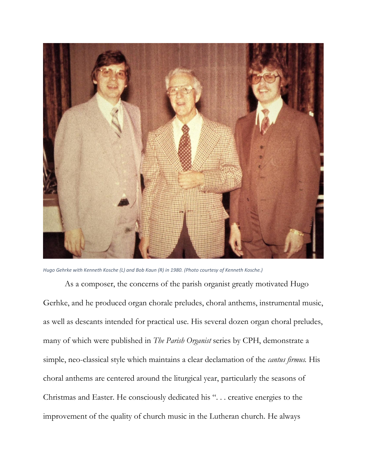

*Hugo Gehrke with Kenneth Kosche (L) and Bob Kaun (R) in 1980. (Photo courtesy of Kenneth Kosche.)* 

As a composer, the concerns of the parish organist greatly motivated Hugo Gerhke, and he produced organ chorale preludes, choral anthems, instrumental music, as well as descants intended for practical use. His several dozen organ choral preludes, many of which were published in *The Parish Organist* series by CPH, demonstrate a simple, neo-classical style which maintains a clear declamation of the *cantus firmus.* His choral anthems are centered around the liturgical year, particularly the seasons of Christmas and Easter. He consciously dedicated his ". . . creative energies to the improvement of the quality of church music in the Lutheran church. He always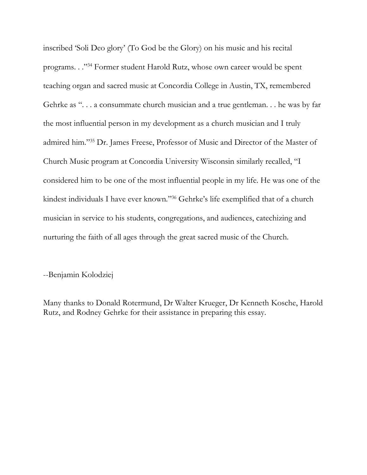inscribed 'Soli Deo glory' (To God be the Glory) on his music and his recital programs. . ."<sup>34</sup> Former student Harold Rutz, whose own career would be spent teaching organ and sacred music at Concordia College in Austin, TX, remembered Gehrke as ". . . a consummate church musician and a true gentleman. . . he was by far the most influential person in my development as a church musician and I truly admired him."<sup>35</sup> Dr. James Freese, Professor of Music and Director of the Master of Church Music program at Concordia University Wisconsin similarly recalled, "I considered him to be one of the most influential people in my life. He was one of the kindest individuals I have ever known." <sup>36</sup> Gehrke's life exemplified that of a church musician in service to his students, congregations, and audiences, catechizing and nurturing the faith of all ages through the great sacred music of the Church.

--Benjamin Kolodziej

Many thanks to Donald Rotermund, Dr Walter Krueger, Dr Kenneth Kosche, Harold Rutz, and Rodney Gehrke for their assistance in preparing this essay.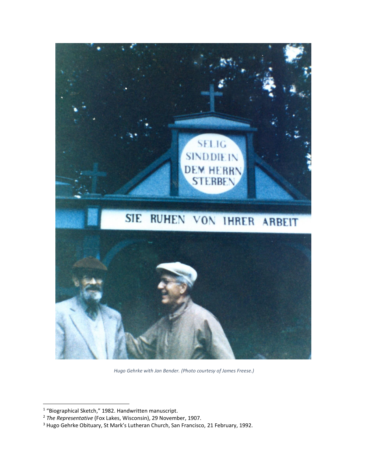

*Hugo Gehrke with Jan Bender. (Photo courtesy of James Freese.)*

<sup>&</sup>lt;sup>1</sup> "Biographical Sketch," 1982. Handwritten manuscript.

<sup>2</sup> *The Representative* (Fox Lakes, Wisconsin), 29 November, 1907.

<sup>3</sup> Hugo Gehrke Obituary, St Mark's Lutheran Church, San Francisco, 21 February, 1992.